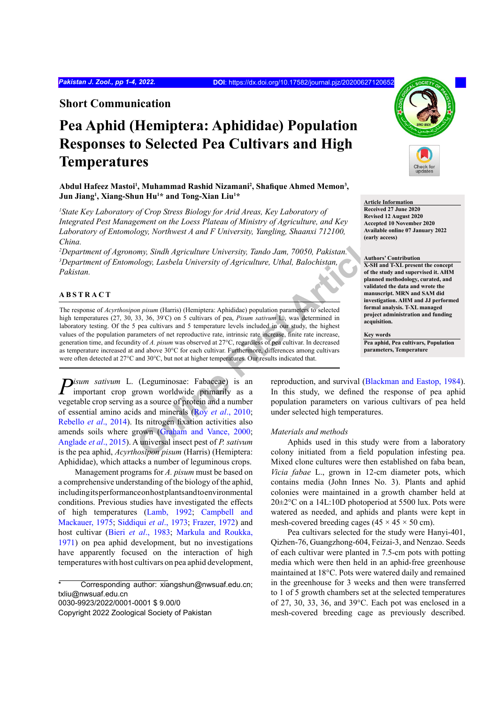**Short Communication**

# **Pea Aphid (Hemiptera: Aphididae) Population Responses to Selected Pea Cultivars and High Temperatures**

Abdul Hafeez Mastoi<sup>1</sup>, Muhammad Rashid Nizamani<sup>2</sup>, Shafique Ahmed Memon<sup>3</sup>, **Jun Jiang1 , Xiang-Shun Hu1 \* and Tong-Xian Liu1 \***

<sup>1</sup> State Key Laboratory of Crop Stress Biology for Arid Areas, Key Laboratory of *Integrated Pest Management on the Loess Plateau of Ministry of Agriculture, and Key Laboratory of Entomology, Northwest A and F University, Yangling, Shaanxi 712100, China.*

*2 Department of Agronomy, Sindh Agriculture University, Tando Jam, 70050, Pakistan. 3 Department of Entomology, Lasbela University of Agriculture, Uthal, Balochistan, Pakistan.* 

# **ABSTRACT**

**[On](#page-3-2)l[in](#page-3-0)e First Article** The response of *Acyrthosipon pisum* (Harris) (Hemiptera: Aphididae) population parameters to selected high temperatures (27, 30, 33, 36, 39° C) on 5 cultivars of pea, *Pisum sativum* L., was determined in laboratory testing. Of the 5 pea cultivars and 5 temperature levels included in our study, the highest values of the population parameters of net reproductive rate, intrinsic rate increase, finite rate increase, generation time, and fecundity of *A. pisum* was observed at 27°C, regardless of pea cultivar. In decreased as temperature increased at and above 30°C for each cultivar. Furthermore, differences among cultivars were often detected at 27°C and 30°C, but not at higher temperatures. Our results indicated that.

*Pisum sativum* L. (Leguminosae: Fabaceae) is an important crop grown worldwide primarily as a vegetable crop serving as a source of protein and a number of essential amino acids and minerals (Roy *et al*., 2010; [Rebello](#page-3-1) *et al*., 2014). Its nitrogen fixation activities also amends soils where grown (Graham and Vance, 2000; [Anglade](#page-3-3) *et al*., 2015). A universal insect pest of *P. sativum* is the pea aphid, *Acyrthosipon pisum* (Harris) (Hemiptera: Aphididae), which attacks a number of leguminous crops.

Management programs for *A. pisum* must be based on a comprehensive understanding of the biology of the aphid, including its performance on host plants and to environmental conditions. Previous studies have investigated the effects of high temperatures ([Lamb, 1992;](#page-3-4) [Campbell and](#page-3-5) [Mackauer, 1975](#page-3-5); [Siddiqui](#page-3-6) *et al*., 1973; [Frazer, 1972](#page-3-7)) and host cultivar (Bieri *et al*[., 1983;](#page-3-8) [Markula and Roukka,](#page-3-9) [1971\)](#page-3-9) on pea aphid development, but no investigations have apparently focused on the interaction of high temperatures with host cultivars on pea aphid development,

0030-9923/2022/0001-0001 \$ 9.00/0



**Article Information Received 27 June 2020 Revised 12 August 2020 Accepted 10 November 2020 Available online 07 January 2022 (early access)**

#### **Authors' Contribution**

**X-SH and T-XL present the concept of the study and supervised it. AHM planned methodology, curated, and validated the data and wrote the manuscript. MRN and SAM did investigation. AHM and JJ performed formal analysis. T-XL managed project administration and funding acquisition.**

**Key words Pea aphid, Pea cultivars, Population parameters, Temperature**

reproduction, and survival ([Blackman and Eastop, 1984\)](#page-3-10). In this study, we defined the response of pea aphid population parameters on various cultivars of pea held under selected high temperatures.

## *Materials and methods*

Aphids used in this study were from a laboratory colony initiated from a field population infesting pea. Mixed clone cultures were then established on faba bean, *Vicia fabae* L., grown in 12-cm diameter pots, which contains media (John Innes No. 3). Plants and aphid colonies were maintained in a growth chamber held at  $20\pm2\degree$ C on a 14L:10D photoperiod at 5500 lux. Pots were watered as needed, and aphids and plants were kept in mesh-covered breeding cages ( $45 \times 45 \times 50$  cm).

Pea cultivars selected for the study were Hanyi-401, Qizhen-76, Guangzhong-604, Feizai-3, and Nenzao. Seeds of each cultivar were planted in 7.5-cm pots with potting media which were then held in an aphid-free greenhouse maintained at 18°C. Pots were watered daily and remained in the greenhouse for 3 weeks and then were transferred to 1 of 5 growth chambers set at the selected temperatures of 27, 30, 33, 36, and 39°C. Each pot was enclosed in a mesh-covered breeding cage as previously described.

Corresponding author: xiangshun@nwsuaf.edu.cn; txliu@nwsuaf.edu.cn

Copyright 2022 Zoological Society of Pakistan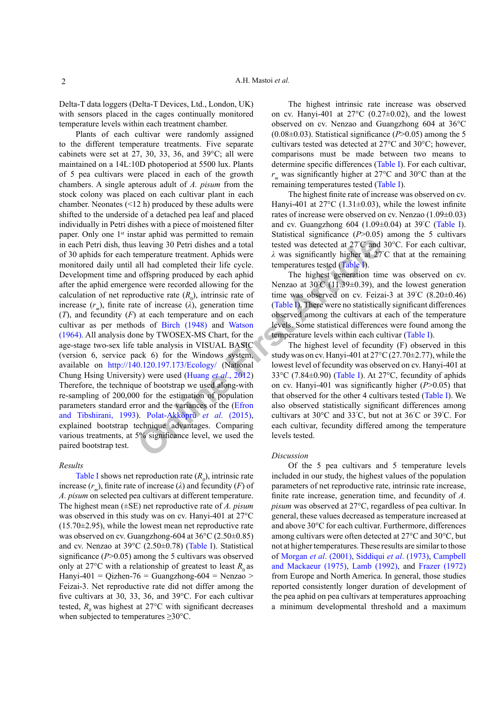Delta-T data loggers (Delta-T Devices, Ltd., London, UK) with sensors placed in the cages continually monitored temperature levels within each treatment chamber.

**Example 10 C Example 10 C Example 10 C Example 10 C Example 10 C Example 10 C Example 10 C Example 10 C Example 10 C Example 10 C Example 10 C C Example 10 C C C C** Plants of each cultivar were randomly assigned to the different temperature treatments. Five separate cabinets were set at 27, 30, 33, 36, and 39°C; all were maintained on a 14L:10D photoperiod at 5500 lux. Plants of 5 pea cultivars were placed in each of the growth chambers. A single apterous adult of *A. pisum* from the stock colony was placed on each cultivar plant in each chamber. Neonates (<12 h) produced by these adults were shifted to the underside of a detached pea leaf and placed individually in Petri dishes with a piece of moistened filter paper. Only one 1<sup>st</sup> instar aphid was permitted to remain in each Petri dish, thus leaving 30 Petri dishes and a total of 30 aphids for each temperature treatment. Aphids were monitored daily until all had completed their life cycle. Development time and offspring produced by each aphid after the aphid emergence were recorded allowing for the calculation of net reproductive rate  $(R_0)$ , intrinsic rate of increase  $(r_m)$ , finite rate of increase ( $\lambda$ ), generation time (*T*), and fecundity (*F*) at each temperature and on each cultivar as per methods of Birch (1948) and Watson [\(1964\)](#page-3-12). All analysis done by TWOSEX-MS Chart, for the age-stage two-sex life table analysis in VISUAL BASIC (version 6, service pack 6) for the Windows system, available on http://140.120.197.173/Ecology/ (National Chung Hsing University) were used (Huang *et al*., 2012) Therefore, the technique of bootstrap we used along-with re-sampling of 200,000 for the estimation of population parameters standard error and the variances of the (Efron [and Tibshirani, 1993\)](#page-3-14). Polat-Akköprü *et al*. (2015), explained bootstrap technique advantages. Comparing various treatments, at 5% significance level, we used the paired bootstrap test.

# *Results*

[Table I](#page-2-0) shows net reproduction rate  $(R_0)$ , intrinsic rate increase  $(r_m)$ , finite rate of increase ( $\lambda$ ) and fecundity (*F*) of *A. pisum* on selected pea cultivars at different temperature. The highest mean (±SE) net reproductive rate of *A. pisum* was observed in this study was on cv. Hanyi-401 at 27°C  $(15.70\pm2.95)$ , while the lowest mean net reproductive rate was observed on cv. Guangzhong-604 at 36°C (2.50±0.85) and cv. Nenzao at 39°C (2.50±0.78) ([Table I](#page-2-0)). Statistical significance (*P*>0.05) among the 5 cultivars was observed only at 27 $\degree$ C with a relationship of greatest to least  $R_0$  as Hanyi-401 = Qizhen-76 = Guangzhong-604 = Nenzao > Feizai-3. Net reproductive rate did not differ among the five cultivars at 30, 33, 36, and 39°C. For each cultivar tested,  $R_0$  was highest at 27 $\degree$ C with significant decreases when subjected to temperatures  $\geq$ 30°C.

The highest intrinsic rate increase was observed on cv. Hanyi-401 at  $27^{\circ}$ C (0.27 $\pm$ 0.02), and the lowest observed on cv. Nenzao and Guangzhong 604 at 36°C  $(0.08\pm0.03)$ . Statistical significance ( $P > 0.05$ ) among the 5 cultivars tested was detected at 27°C and 30°C; however, comparisons must be made between two means to determine specific differences ([Table I\)](#page-2-0). For each cultivar, *r<sub>m</sub>* was significantly higher at 27°C and 30°C than at the remaining temperatures tested [\(Table I](#page-2-0)).

The highest finite rate of increase was observed on cv. Hanyi-401 at  $27^{\circ}$ C (1.31 $\pm$ 0.03), while the lowest infinite rates of increase were observed on cv. Nenzao (1.09±0.03) and cv. Guangzhong 604 (1.09 $\pm$ 0.04) at 39°C ([Table I](#page-2-0)). Statistical significance (*P*>0.05) among the 5 cultivars tested was detected at 27° C and 30°C. For each cultivar, *λ* was significantly higher at 27° C that at the remaining temperatures tested (Table I).

The highest generation time was observed on cv. Nenzao at  $30^{\circ}$ C (11.39±0.39), and the lowest generation time was observed on cv. Feizai-3 at  $39^{\circ}$ C  $(8.20 \pm 0.46)$ (Table I). There were no statistically significant differences observed among the cultivars at each of the temperature levels. Some statistical differences were found among the temperature levels within each cultivar [\(Table I](#page-2-0)).

The highest level of fecundity (F) observed in this study was on cv. Hanyi-401 at 27°C (27.70±2.77), while the lowest level of fecundity was observed on cv. Hanyi-401 at 33°C (7.84±0.90) (Table I). At 27°C, fecundity of aphids on cv. Hanyi-401 was significantly higher (*P*>0.05) that that observed for the other 4 cultivars tested ([Table I\)](#page-2-0). We also observed statistically significant differences among cultivars at 30°C and 33° C, but not at 36° C or 39° C. For each cultivar, fecundity differed among the temperature levels tested.

### *Discussion*

Of the 5 pea cultivars and 5 temperature levels included in our study, the highest values of the population parameters of net reproductive rate, intrinsic rate increase, finite rate increase, generation time, and fecundity of *A. pisum* was observed at 27°C, regardless of pea cultivar. In general, these values decreased as temperature increased at and above 30°C for each cultivar. Furthermore, differences among cultivars were often detected at 27°C and 30°C, but not at higher temperatures. These results are similar to those of [Morgan](#page-3-15) *et al*. (2001), [Siddiqui](#page-3-6) *et al*. (1973), [Campbell](#page-3-5) [and Mackaeur \(1975\)](#page-3-5), [Lamb \(1992\)](#page-3-4), and [Frazer \(1972\)](#page-3-7) from Europe and North America. In general, those studies reported consistently longer duration of development of the pea aphid on pea cultivars at temperatures approaching a minimum developmental threshold and a maximum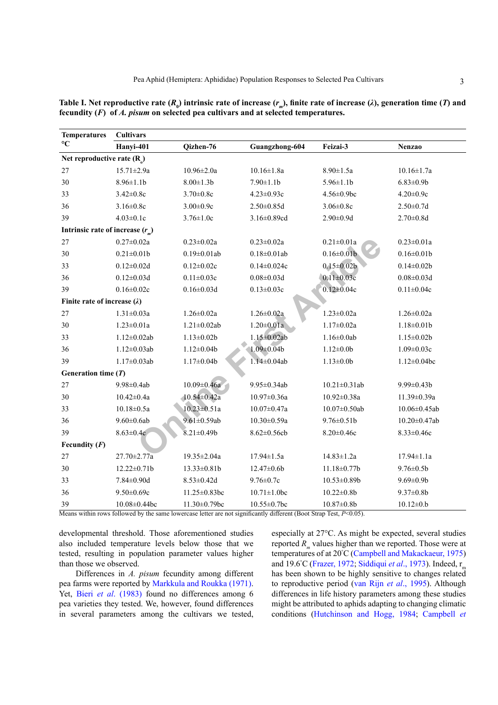| <b>Temperatures</b>                 | <b>Cultivars</b>   |                    |                    |                     |                    |
|-------------------------------------|--------------------|--------------------|--------------------|---------------------|--------------------|
| $\rm ^{\circ}C$                     | Hanyi-401          | Qizhen-76          | Guangzhong-604     | Feizai-3            | <b>Nenzao</b>      |
| Net reproductive rate $(R_0)$       |                    |                    |                    |                     |                    |
| 27                                  | $15.71 \pm 2.9a$   | $10.96 \pm 2.0a$   | $10.16 \pm 1.8a$   | $8.90 \pm 1.5a$     | $10.16 \pm 1.7a$   |
| 30                                  | $8.96 \pm 1.1$     | $8.00 \pm 1.3 b$   | $7.90 \pm 1.1$     | $5.96 \pm 1.1$      | $6.83 \pm 0.9b$    |
| 33                                  | $3.42 \pm 0.8c$    | $3.70 \pm 0.8c$    | $4.23 \pm 0.93c$   | $4.56 \pm 0.9$ bc   | $4.20 \pm 0.9c$    |
| 36                                  | $3.16 \pm 0.8c$    | $3.00 \pm 0.9c$    | $2.50 \pm 0.85d$   | $3.06 \pm 0.8c$     | $2.50 \pm 0.7d$    |
| 39                                  | $4.03 \pm 0.1c$    | $3.76 \pm 1.0c$    | $3.16 \pm 0.89$ cd | $2.90 \pm 0.9d$     | $2.70 \pm 0.8$ d   |
| Intrinsic rate of increase $(r_m)$  |                    |                    |                    |                     |                    |
| 27                                  | $0.27{\pm}0.02a$   | $0.23 \pm 0.02a$   | $0.23 \pm 0.02a$   | $0.21 \pm 0.01a$    | $0.23 \pm 0.01a$   |
| 30                                  | $0.21 \pm 0.01$    | $0.19 \pm 0.01$ ab | $0.18 \pm 0.01$ ab | $0.16 \pm 0.01$     | $0.16 \pm 0.01$    |
| 33                                  | $0.12 \pm 0.02d$   | $0.12 \pm 0.02c$   | $0.14 \pm 0.024c$  | $0.15 \pm 0.02b$    | $0.14 \pm 0.02b$   |
| 36                                  | $0.12 \pm 0.03$ d  | $0.11 \pm 0.03c$   | $0.08 \pm 0.03$ d  | $0.11 \pm 0.03c$    | $0.08 \pm 0.03$ d  |
| 39                                  | $0.16 \pm 0.02c$   | $0.16 \pm 0.03d$   | $0.13 \pm 0.03c$   | $0.12 \pm 0.04c$    | $0.11 \pm 0.04c$   |
| Finite rate of increase $(\lambda)$ |                    |                    |                    |                     |                    |
| 27                                  | $1.31 \pm 0.03a$   | $1.26 \pm 0.02a$   | $1.26 \pm 0.02a$   | $1.23 \pm 0.02a$    | $1.26 \pm 0.02a$   |
| 30                                  | $1.23 \pm 0.01a$   | $1.21 \pm 0.02$ ab | $1.20 \pm 0.01a$   | $1.17 \pm 0.02a$    | $1.18 \pm 0.01$    |
| 33                                  | $1.12 \pm 0.02$ ab | $1.13 \pm 0.02b$   | $1.15 \pm 0.02$ ab | $1.16 \pm 0.0$ ab   | $1.15 \pm 0.02b$   |
| 36                                  | $1.12 \pm 0.03$ ab | $1.12 \pm 0.04b$   | $1.09 \pm 0.04$    | $1.12 \pm 0.0b$     | $1.09 \pm 0.03c$   |
| 39                                  | $1.17 \pm 0.03$ ab | $1.17 \pm 0.04b$   | $1.14 \pm 0.04$ ab | $1.13 \pm 0.0$      | $1.12 \pm 0.04$ bc |
| Generation time $(T)$               |                    |                    |                    |                     |                    |
| 27                                  | 9.98±0.4ab         | $10.09 \pm 0.46a$  | 9.95±0.34ab        | $10.21 \pm 0.31$ ab | $9.99 \pm 0.43 b$  |
| 30                                  | $10.42 \pm 0.4a$   | $10.54 \pm 0.42a$  | $10.97 \pm 0.36a$  | $10.92 \pm 0.38a$   | $11.39 \pm 0.39a$  |
| 33                                  | $10.18 \pm 0.5a$   | $10.23 \pm 0.51a$  | $10.07 \pm 0.47a$  | $10.07 \pm 0.50$ ab | 10.06±0.45ab       |
| 36                                  | $9.60 \pm 0.6$ ab  | $9.61 \pm 0.59$ ab | $10.30 \pm 0.59a$  | $9.76 \pm 0.51$     | 10.20±0.47ab       |
| 39                                  | $8.63 \pm 0.4c$    | $8.21 \pm 0.49$    | $8.62 \pm 0.56$ cb | $8.20 \pm 0.46c$    | $8.33 \pm 0.46c$   |
| Fecundity $(F)$                     |                    |                    |                    |                     |                    |
| 27                                  | 27.70±2.77a        | 19.35±2.04a        | 17.94±1.5a         | $14.83 \pm 1.2a$    | 17.94±1.1a         |
| 30                                  | $12.22 \pm 0.71$ b | $13.33 \pm 0.81b$  | $12.47 \pm 0.6b$   | $11.18 \pm 0.77$ b  | $9.76 \pm 0.5$     |

<span id="page-2-0"></span>Table I. Net reproductive rate  $(R_0)$  intrinsic rate of increase  $(r_m)$ , finite rate of increase (*λ*), generation time (*T*) and **fecundity (***F***) of** *A. pisum* **on selected pea cultivars and at selected temperatures.** 

Means within rows followed by the same lowercase letter are not significantly different (Boot Strap Test, *P*<0.05).

33 7.84 $\pm$ 0.90d 8.53 $\pm$ 0.42d 9.76 $\pm$ 0.7c 10.53 $\pm$ 0.89b 9.69 $\pm$ 0.9b 36 9.50±0.69c 11.25±0.83bc 10.71±1.0bc 10.22±0.8b 9.37±0.8b 39 10.08±0.44bc 11.30±0.79bc 10.55±0.7bc 10.87±0.8b 10.12±0.b

developmental threshold. Those aforementioned studies also included temperature levels below those that we tested, resulting in population parameter values higher than those we observed.

Differences in *A. pisum* fecundity among different pea farms were reported by [Markkula and Roukka \(1971\).](#page-3-9) Yet, Bieri *et al*[. \(1983\)](#page-3-8) found no differences among 6 pea varieties they tested. We, however, found differences in several parameters among the cultivars we tested, especially at 27°C. As might be expected, several studies reported  $R_m$  values higher than we reported. Those were at temperatures of at 20° C ([Campbell and Makackaeur, 1975\)](#page-3-5) and 19.6°C ([Frazer, 1972](#page-3-7); [Siddiqui](#page-3-6) *et al.*, 1973). Indeed, r<sub>m</sub> has been shown to be highly sensitive to changes related to reproductive period [\(van Rijn](#page-3-16) *et al*., 1995). Although differences in life history parameters among these studies might be attributed to aphids adapting to changing climatic conditions [\(Hutchinson and Hogg, 1984](#page-3-17); [Campbell](#page-3-5) *et*